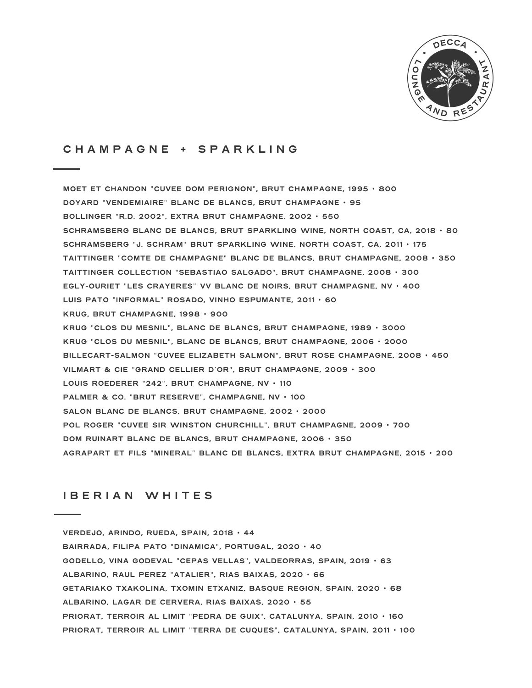

# **C H A M P A G N E + S P A R K L I N G**

**MOET ET CHANDON** "**CUVEE DOM PERIGNON**"**, BRUT CHAMPAGNE, 1995** • **800 DOYARD** "**VENDEMIAIRE**" **BLANC DE BLANCS, BRUT CHAMPAGNE** • **95 BOLLINGER** "**R.D. 2002**"**, EXTRA BRUT CHAMPAGNE, 2002** • **550 SCHRAMSBERG BLANC DE BLANCS, BRUT SPARKLING WINE, NORTH COAST, CA, 2018** • **80 SCHRAMSBERG** "**J. SCHRAM**" **BRUT SPARKLING WINE, NORTH COAST, CA, 2011** • **175 TAITTINGER** "**COMTE DE CHAMPAGNE**" **BLANC DE BLANCS, BRUT CHAMPAGNE, 2008** • **350 TAITTINGER COLLECTION** "**SEBASTIAO SALGADO**"**, BRUT CHAMPAGNE, 2008** • **300 EGLY-OURIET** "**LES CRAYERES**" **VV BLANC DE NOIRS, BRUT CHAMPAGNE, NV** • **400 LUIS PATO** "**INFORMAL**" **ROSADO, VINHO ESPUMANTE, 2011** • **60 KRUG, BRUT CHAMPAGNE, 1998** • **900 KRUG** "**CLOS DU MESNIL**"**, BLANC DE BLANCS, BRUT CHAMPAGNE, 1989** • **3000 KRUG** "**CLOS DU MESNIL**"**, BLANC DE BLANCS, BRUT CHAMPAGNE, 2006** • **2000 BILLECART-SALMON** "**CUVEE ELIZABETH SALMON**"**, BRUT ROSE CHAMPAGNE, 2008** • **450 VILMART & CIE** "**GRAND CELLIER D'OR**"**, BRUT CHAMPAGNE, 2009** • **300 LOUIS ROEDERER** "**242**"**, BRUT CHAMPAGNE, NV** • **110 PALMER & CO.** "**BRUT RESERVE**"**, CHAMPAGNE, NV** • **100 SALON BLANC DE BLANCS, BRUT CHAMPAGNE, 2002** • **2000 POL ROGER** "**CUVEE SIR WINSTON CHURCHILL**"**, BRUT CHAMPAGNE, 2009** • **700 DOM RUINART BLANC DE BLANCS, BRUT CHAMPAGNE, 2006** • **350 AGRAPART ET FILS** "**MINERAL**" **BLANC DE BLANCS, EXTRA BRUT CHAMPAGNE, 2015** • **200**

# **I B E R I A N W H I T E S**

**VERDEJO, ARINDO, RUEDA, SPAIN, 2018** • **44 BAIRRADA, FILIPA PATO** "**DINAMICA**"**, PORTUGAL, 2020** • **40 GODELLO, VINA GODEVAL** "**CEPAS VELLAS**"**, VALDEORRAS, SPAIN, 2019** • **63 ALBARINO, RAUL PEREZ** "**ATALIER**"**, RIAS BAIXAS, 2020** • **66 GETARIAKO TXAKOLINA, TXOMIN ETXANIZ, BASQUE REGION, SPAIN, 2020** • **68 ALBARINO, LAGAR DE CERVERA, RIAS BAIXAS, 2020** • **55 PRIORAT, TERROIR AL LIMIT** "**PEDRA DE GUIX**"**, CATALUNYA, SPAIN, 2010** • **160 PRIORAT, TERROIR AL LIMIT** "**TERRA DE CUQUES**"**, CATALUNYA, SPAIN, 2011** • **100**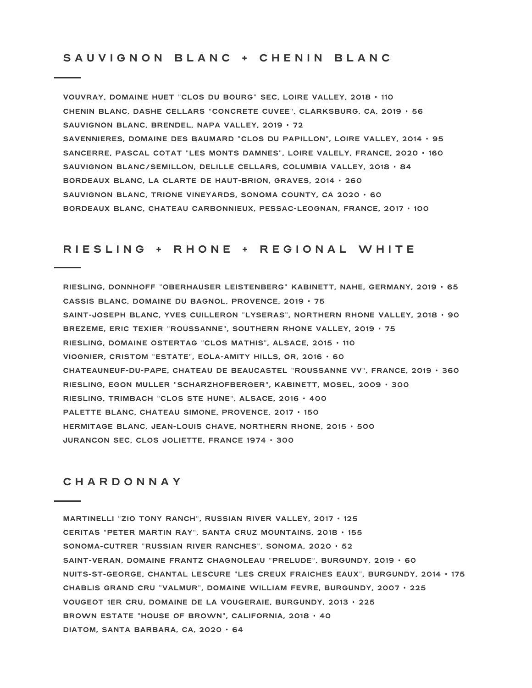## SAUVIGNON BLANC + CHENIN BLANC

**VOUVRAY, DOMAINE HUET** "**CLOS DU BOURG**" **SEC, LOIRE VALLEY, 2018** • **110 CHENIN BLANC, DASHE CELLARS** "**CONCRETE CUVEE**"**, CLARKSBURG, CA, 2019** • **56 SAUVIGNON BLANC, BRENDEL, NAPA VALLEY, 2019** • **72 SAVENNIERES, DOMAINE DES BAUMARD** "**CLOS DU PAPILLON**"**, LOIRE VALLEY, 2014** • **95 SANCERRE, PASCAL COTAT** "**LES MONTS DAMNES**"**, LOIRE VALELY, FRANCE, 2020** • **160 SAUVIGNON BLANC/SEMILLON, DELILLE CELLARS, COLUMBIA VALLEY, 2018** • **84 BORDEAUX BLANC, LA CLARTE DE HAUT-BRION, GRAVES, 2014** • **260 SAUVIGNON BLANC, TRIONE VINEYARDS, SONOMA COUNTY, CA 2020** • **60 BORDEAUX BLANC, CHATEAU CARBONNIEUX, PESSAC-LEOGNAN, FRANCE, 2O17** • **100**

# RIESLING + RHONE + REGIONAL WHITE

**RIESLING, DONNHOFF** "**OBERHAUSER LEISTENBERG**" **KABINETT, NAHE, GERMANY, 2019** • **65 CASSIS BLANC, DOMAINE DU BAGNOL, PROVENCE, 2019** • **75 SAINT-JOSEPH BLANC, YVES CUILLERON** "**LYSERAS**"**, NORTHERN RHONE VALLEY, 2018** • **90 BREZEME, ERIC TEXIER** "**ROUSSANNE**"**, SOUTHERN RHONE VALLEY, 2019** • **75 RIESLING, DOMAINE OSTERTAG** "**CLOS MATHIS**"**, ALSACE, 2015** • **110 VIOGNIER, CRISTOM** "**ESTATE**"**, EOLA-AMITY HILLS, OR, 2016** • **60 CHATEAUNEUF-DU-PAPE, CHATEAU DE BEAUCASTEL** "**ROUSSANNE VV**"**, FRANCE, 2019** • **360 RIESLING, EGON MULLER** "**SCHARZHOFBERGER**"**, KABINETT, MOSEL, 2009** • **300 RIESLING, TRIMBACH** "**CLOS STE HUNE**"**, ALSACE, 2016** • **400 PALETTE BLANC, CHATEAU SIMONE, PROVENCE, 2017** • **150 HERMITAGE BLANC, JEAN-LOUIS CHAVE, NORTHERN RHONE, 2015** • **500 JURANCON SEC, CLOS JOLIETTE, FRANCE 1974** • **300**

#### **C H A R D O N N A Y**

**MARTINELLI** "**ZIO TONY RANCH**"**, RUSSIAN RIVER VALLEY, 2017** • **125 CERITAS** "**PETER MARTIN RAY**"**, SANTA CRUZ MOUNTAINS, 2018** • **155 SONOMA-CUTRER** "**RUSSIAN RIVER RANCHES**"**, SONOMA, 2020** • **52 SAINT-VERAN, DOMAINE FRANTZ CHAGNOLEAU** "**PRELUDE**"**, BURGUNDY, 2019** • **60 NUITS-ST-GEORGE, CHANTAL LESCURE** "**LES CREUX FRAICHES EAUX**"**, BURGUNDY, 2014** • **175 CHABLIS GRAND CRU** "**VALMUR**"**, DOMAINE WILLIAM FEVRE, BURGUNDY, 2007** • **225 VOUGEOT 1ER CRU, DOMAINE DE LA VOUGERAIE, BURGUNDY, 2013** • **225 BROWN ESTATE** "**HOUSE OF BROWN**"**, CALIFORNIA, 2018** • **40 DIATOM, SANTA BARBARA, CA, 2020** • **64**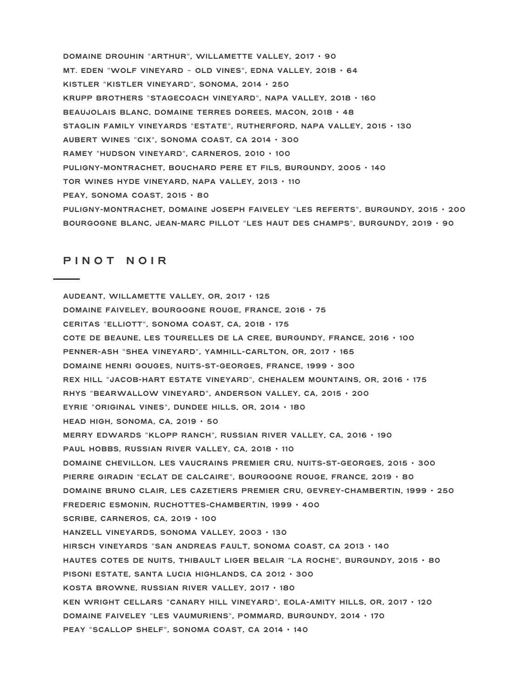**DOMAINE DROUHIN** "**ARTHUR**"**, WILLAMETTE VALLEY, 2017** • **90 MT. EDEN** "**WOLF VINEYARD** ~ **OLD VINES**"**, EDNA VALLEY, 2018** • **64 KISTLER** "**KISTLER VINEYARD**"**, SONOMA, 2014** • **250 KRUPP BROTHERS** "**STAGECOACH VINEYARD**"**, NAPA VALLEY, 2018** • **160 BEAUJOLAIS BLANC, DOMAINE TERRES DOREES, MACON, 2018** • **48 STAGLIN FAMILY VINEYARDS** "**ESTATE**"**, RUTHERFORD, NAPA VALLEY, 2015** • **130 AUBERT WINES** "**CIX**"**, SONOMA COAST, CA 2014** • **300 RAMEY** "**HUDSON VINEYARD**"**, CARNEROS, 2010** • **100 PULIGNY-MONTRACHET, BOUCHARD PERE ET FILS, BURGUNDY, 2005** • **140 TOR WINES HYDE VINEYARD, NAPA VALLEY, 2013** • **110 PEAY, SONOMA COAST, 2015** • **80 PULIGNY-MONTRACHET, DOMAINE JOSEPH FAIVELEY** "**LES REFERTS**"**, BURGUNDY, 2015** • **200 BOURGOGNE BLANC, JEAN-MARC PILLOT** "**LES HAUT DES CHAMPS**"**, BURGUNDY, 2019** • **90**

## **P I N O T N O I R**

**AUDEANT, WILLAMETTE VALLEY, OR, 2017** • **125 DOMAINE FAIVELEY, BOURGOGNE ROUGE, FRANCE, 2016** • **75 CERITAS** "**ELLIOTT**"**, SONOMA COAST, CA, 2018** • **175 COTE DE BEAUNE, LES TOURELLES DE LA CREE, BURGUNDY, FRANCE, 2016** • **100 PENNER-ASH** "**SHEA VINEYARD**"**, YAMHILL-CARLTON, OR, 2017** • **165 DOMAINE HENRI GOUGES, NUITS-ST-GEORGES, FRANCE, 1999** • **300 REX HILL** "**JACOB-HART ESTATE VINEYARD**"**, CHEHALEM MOUNTAINS, OR, 2016** • **175 RHYS** "**BEARWALLOW VINEYARD**"**, ANDERSON VALLEY, CA, 2015** • **200 EYRIE** "**ORIGINAL VINES**"**, DUNDEE HILLS, OR, 2014** • **180 HEAD HIGH, SONOMA, CA, 2019** • **50 MERRY EDWARDS** "**KLOPP RANCH**"**, RUSSIAN RIVER VALLEY, CA, 2016** • **190 PAUL HOBBS, RUSSIAN RIVER VALLEY, CA, 2018** • **110 DOMAINE CHEVILLON, LES VAUCRAINS PREMIER CRU, NUITS-ST-GEORGES, 2015** • **300 PIERRE GIRADIN** "**ECLAT DE CALCAIRE**"**, BOURGOGNE ROUGE, FRANCE, 2019** • **80 DOMAINE BRUNO CLAIR, LES CAZETIERS PREMIER CRU, GEVREY-CHAMBERTIN, 1999** • **250 FREDERIC ESMONIN, RUCHOTTES-CHAMBERTIN, 1999** • **400 SCRIBE, CARNEROS, CA, 2019** • **100 HANZELL VINEYARDS, SONOMA VALLEY, 2003** • **130 HIRSCH VINEYARDS** "**SAN ANDREAS FAULT, SONOMA COAST, CA 2O13** • **140 HAUTES COTES DE NUITS, THIBAULT LIGER BELAIR** "**LA ROCHE**"**, BURGUNDY, 2015** • **80 PISONI ESTATE, SANTA LUCIA HIGHLANDS, CA 2012** • **300 KOSTA BROWNE, RUSSIAN RIVER VALLEY, 2017** • **180 KEN WRIGHT CELLARS** "**CANARY HILL VINEYARD**"**, EOLA-AMITY HILLS, OR, 2017** • **120 DOMAINE FAIVELEY** "**LES VAUMURIENS**"**, POMMARD, BURGUNDY, 2014** • **170 PEAY** "**SCALLOP SHELF**"**, SONOMA COAST, CA 2014** • **140**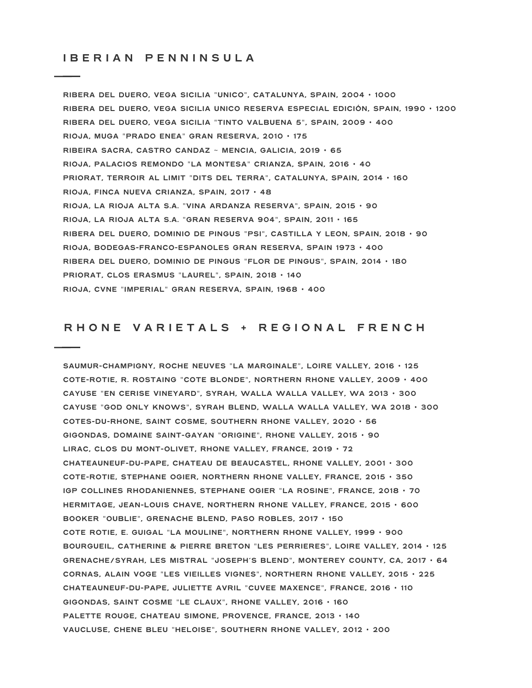### **I B E R I A N P E N N I N S U L A**

**RIBERA DEL DUERO, VEGA SICILIA** "**UNICO**"**, CATALUNYA, SPAIN, 2004** • **1000 RIBERA DEL DUERO, VEGA SICILIA UNICO RESERVA ESPECIAL EDICIÓN, SPAIN, 1990** • **1200 RIBERA DEL DUERO, VEGA SICILIA** "**TINTO VALBUENA 5**"**, SPAIN, 2009** • **400 RIOJA, MUGA** "**PRADO ENEA**" **GRAN RESERVA, 2010** • **175 RIBEIRA SACRA, CASTRO CANDAZ** ~ **MENCIA, GALICIA, 2019** • **65 RIOJA, PALACIOS REMONDO** "**LA MONTESA**" **CRIANZA, SPAIN, 2016** • **40 PRIORAT, TERROIR AL LIMIT** "**DITS DEL TERRA**"**, CATALUNYA, SPAIN, 2014** • **160 RIOJA, FINCA NUEVA CRIANZA, SPAIN, 2017** • **48 RIOJA, LA RIOJA ALTA S.A.** "**VINA ARDANZA RESERVA**"**, SPAIN, 2015** • **90 RIOJA, LA RIOJA ALTA S.A.** "**GRAN RESERVA 904**"**, SPAIN, 2011** • **165 RIBERA DEL DUERO, DOMINIO DE PINGUS** "**PSI**"**, CASTILLA Y LEON, SPAIN, 2018** • **90 RIOJA, BODEGAS-FRANCO-ESPANOLES GRAN RESERVA, SPAIN 1973** • **400 RIBERA DEL DUERO, DOMINIO DE PINGUS** "**FLOR DE PINGUS**"**, SPAIN, 2014** • **180 PRIORAT, CLOS ERASMUS** "**LAUREL**"**, SPAIN, 2018** • **140 RIOJA, CVNE** "**IMPERIAL**" **GRAN RESERVA, SPAIN, 1968** • **400**

## RHONE VARIETALS + REGIONAL FRENCH

**SAUMUR-CHAMPIGNY, ROCHE NEUVES** "**LA MARGINALE**"**, LOIRE VALLEY, 2016** • **125 COTE-ROTIE, R. ROSTAING** "**COTE BLONDE**"**, NORTHERN RHONE VALLEY, 2009** • **400 CAYUSE** "**EN CERISE VINEYARD**"**, SYRAH, WALLA WALLA VALLEY, WA 2013** • **300 CAYUSE** "**GOD ONLY KNOWS**"**, SYRAH BLEND, WALLA WALLA VALLEY, WA 2018** • **300 COTES-DU-RHONE, SAINT COSME, SOUTHERN RHONE VALLEY, 2020** • **56 GIGONDAS, DOMAINE SAINT-GAYAN** "**ORIGINE**"**, RHONE VALLEY, 2015** • **90 LIRAC, CLOS DU MONT-OLIVET, RHONE VALLEY, FRANCE, 2019** • **72 CHATEAUNEUF-DU-PAPE, CHATEAU DE BEAUCASTEL, RHONE VALLEY, 2001** • **300 COTE-ROTIE, STEPHANE OGIER, NORTHERN RHONE VALLEY, FRANCE, 2015** • **350 IGP COLLINES RHODANIENNES, STEPHANE OGIER** "**LA ROSINE**"**, FRANCE, 2018** • **70 HERMITAGE, JEAN-LOUIS CHAVE, NORTHERN RHONE VALLEY, FRANCE, 2015** • **600 BOOKER** "**OUBLIE**"**, GRENACHE BLEND, PASO ROBLES, 2017** • **150 COTE ROTIE, E. GUIGAL** "**LA MOULINE**"**, NORTHERN RHONE VALLEY, 1999** • **900 BOURGUEIL, CATHERINE & PIERRE BRETON** "**LES PERRIERES**"**, LOIRE VALLEY, 2014** • **125 GRENACHE/SYRAH, LES MISTRAL** "**JOSEPH'S BLEND**"**, MONTEREY COUNTY, CA, 2017** • **64 CORNAS, ALAIN VOGE** "**LES VIEILLES VIGNES**"**, NORTHERN RHONE VALLEY, 2015** • **225 CHATEAUNEUF-DU-PAPE, JULIETTE AVRIL** "**CUVEE MAXENCE**"**, FRANCE, 2016** • **110 GIGONDAS, SAINT COSME** "**LE CLAUX**"**, RHONE VALLEY, 2016** • **160 PALETTE ROUGE, CHATEAU SIMONE, PROVENCE, FRANCE, 2013** • **140 VAUCLUSE, CHENE BLEU** "**HELOISE**"**, SOUTHERN RHONE VALLEY, 2012** • **200**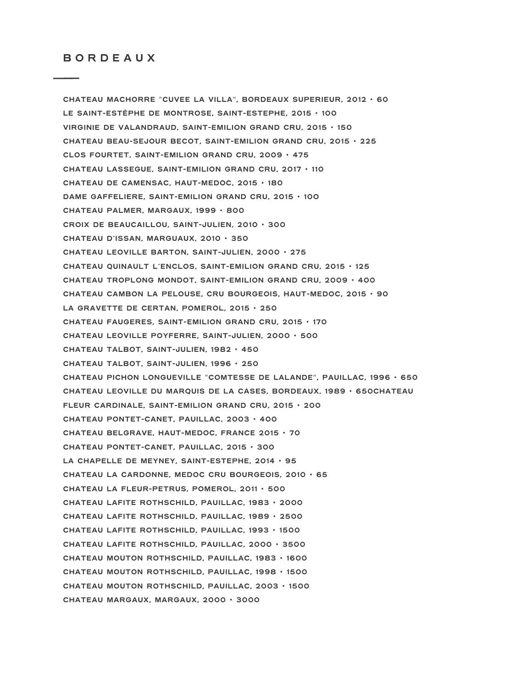**CHATEAU MACHORRE** "**CUVEE LA VILLA**"**, BORDEAUX SUPERIEUR, 2012** • **60 LE SAINT-ESTÈPHE DE MONTROSE, SAINT-ESTEPHE, 2015** • **100 VIRGINIE DE VALANDRAUD, SAINT-EMILION GRAND CRU, 2015** • **150 CHATEAU BEAU-SEJOUR BECOT, SAINT-EMILION GRAND CRU, 2015** • **225 CLOS FOURTET, SAINT-EMILION GRAND CRU, 2009** • **475 CHATEAU LASSEGUE, SAINT-EMILION GRAND CRU, 2017** • **110 CHATEAU DE CAMENSAC, HAUT-MEDOC, 2015** • **180 DAME GAFFELIERE, SAINT-EMILION GRAND CRU, 2015** • **10O CHATEAU PALMER, MARGAUX, 1999** • **800 CROIX DE BEAUCAILLOU, SAINT-JULIEN, 2010** • **300 CHATEAU D'ISSAN, MARGUAUX, 2010** • **350 CHATEAU LEOVILLE BARTON, SAINT-JULIEN, 2000** • **275 CHATEAU QUINAULT L'ENCLOS, SAINT-EMILION GRAND CRU, 2015** • **125 CHATEAU TROPLONG MONDOT, SAINT-EMILION GRAND CRU, 2009** • **400 CHATEAU CAMBON LA PELOUSE, CRU BOURGEOIS, HAUT-MEDOC, 2015** • **90 LA GRAVETTE DE CERTAN, POMEROL, 2015** • **250 CHATEAU FAUGERES, SAINT-EMILION GRAND CRU, 2015** • **170 CHATEAU LEOVILLE POYFERRE, SAINT-JULIEN, 2000** • **500 CHATEAU TALBOT, SAINT-JULIEN, 1982** • **450 CHATEAU TALBOT, SAINT-JULIEN, 1996** • **250 CHATEAU PICHON LONGUEVILLE** "**COMTESSE DE LALANDE**"**, PAUILLAC, 1996** • **650 CHATEAU LEOVILLE DU MARQUIS DE LA CASES, BORDEAUX, 1989** • **650CHATEAU FLEUR CARDINALE, SAINT-EMILION GRAND CRU, 2015** • **200 CHATEAU PONTET-CANET, PAUILLAC, 2003** • **400 CHATEAU BELGRAVE, HAUT-MEDOC, FRANCE 2015** • **70 CHATEAU PONTET-CANET, PAUILLAC, 2015** • **300 LA CHAPELLE DE MEYNEY, SAINT-ESTEPHE, 2014** • **95 CHATEAU LA CARDONNE, MEDOC CRU BOURGEOIS, 2010** • **65 CHATEAU LA FLEUR-PETRUS, POMEROL, 2011** • **500 CHATEAU LAFITE ROTHSCHILD, PAUILLAC, 1983** • **2000 CHATEAU LAFITE ROTHSCHILD, PAUILLAC, 1989** • **2500 CHATEAU LAFITE ROTHSCHILD, PAUILLAC, 1993** • **1500 CHATEAU LAFITE ROTHSCHILD, PAUILLAC, 2000** • **3500 CHATEAU MOUTON ROTHSCHILD, PAUILLAC, 1983** • **1600 CHATEAU MOUTON ROTHSCHILD, PAUILLAC, 1998** • **1500 CHATEAU MOUTON ROTHSCHILD, PAUILLAC, 2003** • **1500 CHATEAU MARGAUX, MARGAUX, 2000** • **3000**